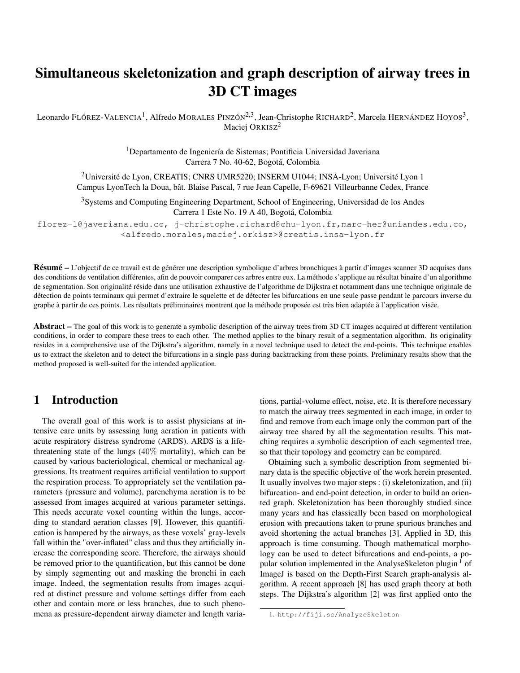# Simultaneous skeletonization and graph description of airway trees in 3D CT images

Leonardo FLÓREZ-VALENCIA<sup>1</sup>, Alfredo MORALES PINZÓN<sup>2,3</sup>, Jean-Christophe RICHARD<sup>2</sup>, Marcela HERNÁNDEZ HOYOS<sup>3</sup>, Maciej ORKISZ<sup>2</sup>

> <sup>1</sup>Departamento de Ingeniería de Sistemas; Pontificia Universidad Javeriana Carrera 7 No. 40-62, Bogotá, Colombia

<sup>2</sup>Université de Lyon, CREATIS; CNRS UMR5220; INSERM U1044; INSA-Lyon; Université Lyon 1 Campus LyonTech la Doua, bât. Blaise Pascal, 7 rue Jean Capelle, F-69621 Villeurbanne Cedex, France

<sup>3</sup>Systems and Computing Engineering Department, School of Engineering, Universidad de los Andes Carrera 1 Este No. 19 A 40, Bogotá, Colombia

florez-l@javeriana.edu.co, j-christophe.richard@chu-lyon.fr,marc-her@uniandes.edu.co, <alfredo.morales,maciej.orkisz>@creatis.insa-lyon.fr

Résumé – L'objectif de ce travail est de générer une description symbolique d'arbres bronchiques à partir d'images scanner 3D acquises dans des conditions de ventilation différentes, afin de pouvoir comparer ces arbres entre eux. La méthode s'applique au résultat binaire d'un algorithme de segmentation. Son originalité réside dans une utilisation exhaustive de l'algorithme de Dijkstra et notamment dans une technique originale de détection de points terminaux qui permet d'extraire le squelette et de détecter les bifurcations en une seule passe pendant le parcours inverse du graphe à partir de ces points. Les résultats préliminaires montrent que la méthode proposée est très bien adaptée à l'application visée.

Abstract – The goal of this work is to generate a symbolic description of the airway trees from 3D CT images acquired at different ventilation conditions, in order to compare these trees to each other. The method applies to the binary result of a segmentation algorithm. Its originality resides in a comprehensive use of the Dijkstra's algorithm, namely in a novel technique used to detect the end-points. This technique enables us to extract the skeleton and to detect the bifurcations in a single pass during backtracking from these points. Preliminary results show that the method proposed is well-suited for the intended application.

# 1 Introduction

The overall goal of this work is to assist physicians at intensive care units by assessing lung aeration in patients with acute respiratory distress syndrome (ARDS). ARDS is a lifethreatening state of the lungs (40% mortality), which can be caused by various bacteriological, chemical or mechanical aggressions. Its treatment requires artificial ventilation to support the respiration process. To appropriately set the ventilation parameters (pressure and volume), parenchyma aeration is to be assessed from images acquired at various parameter settings. This needs accurate voxel counting within the lungs, according to standard aeration classes [9]. However, this quantification is hampered by the airways, as these voxels' gray-levels fall within the "over-inflated" class and thus they artificially increase the corresponding score. Therefore, the airways should be removed prior to the quantification, but this cannot be done by simply segmenting out and masking the bronchi in each image. Indeed, the segmentation results from images acquired at distinct pressure and volume settings differ from each other and contain more or less branches, due to such phenomena as pressure-dependent airway diameter and length variations, partial-volume effect, noise, etc. It is therefore necessary to match the airway trees segmented in each image, in order to find and remove from each image only the common part of the airway tree shared by all the segmentation results. This matching requires a symbolic description of each segmented tree, so that their topology and geometry can be compared.

Obtaining such a symbolic description from segmented binary data is the specific objective of the work herein presented. It usually involves two major steps : (i) skeletonization, and (ii) bifurcation- and end-point detection, in order to build an oriented graph. Skeletonization has been thoroughly studied since many years and has classically been based on morphological erosion with precautions taken to prune spurious branches and avoid shortening the actual branches [3]. Applied in 3D, this approach is time consuming. Though mathematical morphology can be used to detect bifurcations and end-points, a popular solution implemented in the AnalyseSkeleton plugin  $<sup>1</sup>$  of</sup> ImageJ is based on the Depth-First Search graph-analysis algorithm. A recent approach [8] has used graph theory at both steps. The Dijkstra's algorithm [2] was first applied onto the

<sup>1.</sup> http://fiji.sc/AnalyzeSkeleton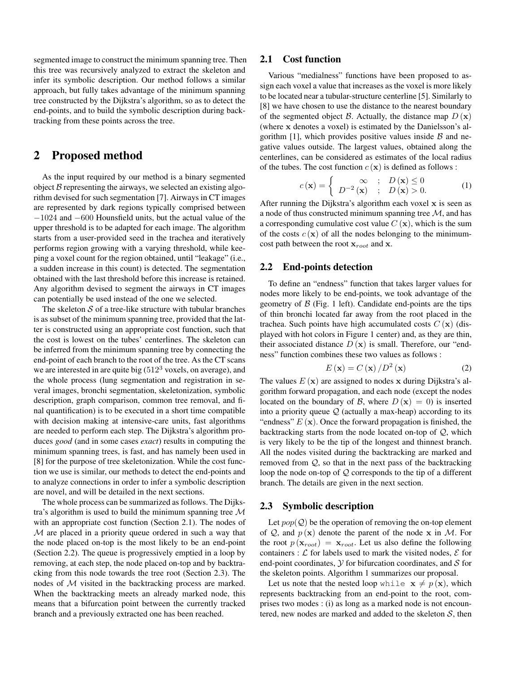segmented image to construct the minimum spanning tree. Then this tree was recursively analyzed to extract the skeleton and infer its symbolic description. Our method follows a similar approach, but fully takes advantage of the minimum spanning tree constructed by the Dijkstra's algorithm, so as to detect the end-points, and to build the symbolic description during backtracking from these points across the tree.

## 2 Proposed method

As the input required by our method is a binary segmented object  $B$  representing the airways, we selected an existing algorithm devised for such segmentation [7]. Airways in CT images are represented by dark regions typically comprised between −1024 and −600 Hounsfield units, but the actual value of the upper threshold is to be adapted for each image. The algorithm starts from a user-provided seed in the trachea and iteratively performs region growing with a varying threshold, while keeping a voxel count for the region obtained, until "leakage" (i.e., a sudden increase in this count) is detected. The segmentation obtained with the last threshold before this increase is retained. Any algorithm devised to segment the airways in CT images can potentially be used instead of the one we selected.

The skeleton  $S$  of a tree-like structure with tubular branches is as subset of the minimum spanning tree, provided that the latter is constructed using an appropriate cost function, such that the cost is lowest on the tubes' centerlines. The skeleton can be inferred from the minimum spanning tree by connecting the end-point of each branch to the root of the tree. As the CT scans we are interested in are quite big  $(512<sup>3</sup>$  voxels, on average), and the whole process (lung segmentation and registration in several images, bronchi segmentation, skeletonization, symbolic description, graph comparison, common tree removal, and final quantification) is to be executed in a short time compatible with decision making at intensive-care units, fast algorithms are needed to perform each step. The Dijkstra's algorithm produces *good* (and in some cases *exact*) results in computing the minimum spanning trees, is fast, and has namely been used in [8] for the purpose of tree skeletonization. While the cost function we use is similar, our methods to detect the end-points and to analyze connections in order to infer a symbolic description are novel, and will be detailed in the next sections.

The whole process can be summarized as follows. The Dijkstra's algorithm is used to build the minimum spanning tree  $\mathcal M$ with an appropriate cost function (Section 2.1). The nodes of M are placed in a priority queue ordered in such a way that the node placed on-top is the most likely to be an end-point (Section 2.2). The queue is progressively emptied in a loop by removing, at each step, the node placed on-top and by backtracking from this node towards the tree root (Section 2.3). The nodes of M visited in the backtracking process are marked. When the backtracking meets an already marked node, this means that a bifurcation point between the currently tracked branch and a previously extracted one has been reached.

#### 2.1 Cost function

Various "medialness" functions have been proposed to assign each voxel a value that increases as the voxel is more likely to be located near a tubular-structure centerline [5]. Similarly to [8] we have chosen to use the distance to the nearest boundary of the segmented object B. Actually, the distance map  $D(\mathbf{x})$ (where x denotes a voxel) is estimated by the Danielsson's algorithm [1], which provides positive values inside  $\beta$  and negative values outside. The largest values, obtained along the centerlines, can be considered as estimates of the local radius of the tubes. The cost function  $c(\mathbf{x})$  is defined as follows :

$$
c(\mathbf{x}) = \begin{cases} \infty & ; \quad D(\mathbf{x}) \le 0 \\ D^{-2}(\mathbf{x}) & ; \quad D(\mathbf{x}) > 0. \end{cases}
$$
 (1)

After running the Dijkstra's algorithm each voxel  $x$  is seen as a node of thus constructed minimum spanning tree  $M$ , and has a corresponding cumulative cost value  $C(\mathbf{x})$ , which is the sum of the costs  $c(\mathbf{x})$  of all the nodes belonging to the minimumcost path between the root  $x_{root}$  and x.

#### 2.2 End-points detection

To define an "endness" function that takes larger values for nodes more likely to be end-points, we took advantage of the geometry of  $\beta$  (Fig. 1 left). Candidate end-points are the tips of thin bronchi located far away from the root placed in the trachea. Such points have high accumulated costs  $C(\mathbf{x})$  (displayed with hot colors in Figure 1 center) and, as they are thin, their associated distance  $D(x)$  is small. Therefore, our "endness" function combines these two values as follows :

$$
E\left(\mathbf{x}\right) = C\left(\mathbf{x}\right) / D^2\left(\mathbf{x}\right) \tag{2}
$$

The values  $E(\mathbf{x})$  are assigned to nodes x during Dijkstra's algorithm forward propagation, and each node (except the nodes located on the boundary of B, where  $D(\mathbf{x}) = 0$  is inserted into a priority queue  $Q$  (actually a max-heap) according to its "endness"  $E(\mathbf{x})$ . Once the forward propagation is finished, the backtracking starts from the node located on-top of  $Q$ , which is very likely to be the tip of the longest and thinnest branch. All the nodes visited during the backtracking are marked and removed from  $Q$ , so that in the next pass of the backtracking loop the node on-top of  $Q$  corresponds to the tip of a different branch. The details are given in the next section.

#### 2.3 Symbolic description

Let  $pop(\mathcal{Q})$  be the operation of removing the on-top element of  $Q$ , and  $p(x)$  denote the parent of the node x in M. For the root  $p(\mathbf{x}_{root}) = \mathbf{x}_{root}$ . Let us also define the following containers :  $\mathcal L$  for labels used to mark the visited nodes,  $\mathcal E$  for end-point coordinates,  $Y$  for bifurcation coordinates, and  $S$  for the skeleton points. Algorithm 1 summarizes our proposal.

Let us note that the nested loop while  $x \neq p(x)$ , which represents backtracking from an end-point to the root, comprises two modes : (i) as long as a marked node is not encountered, new nodes are marked and added to the skeleton  $S$ , then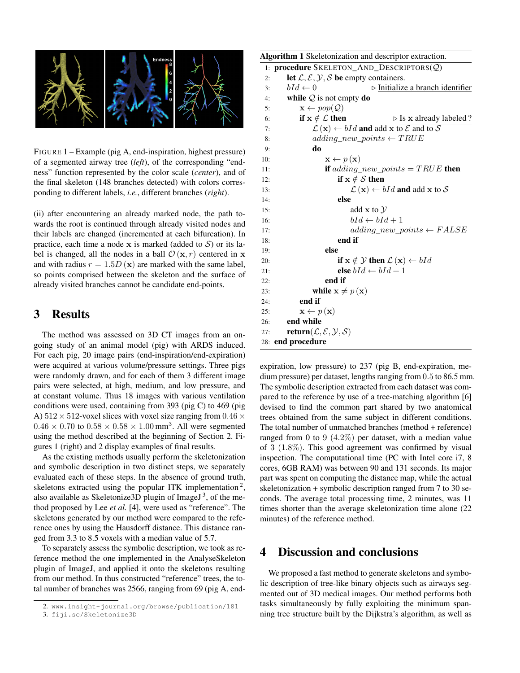

FIGURE 1 – Example (pig A, end-inspiration, highest pressure) of a segmented airway tree (*left*), of the corresponding "endness" function represented by the color scale (*center*), and of the final skeleton (148 branches detected) with colors corresponding to different labels, *i.e.*, different branches (*right*).

(ii) after encountering an already marked node, the path towards the root is continued through already visited nodes and their labels are changed (incremented at each bifurcation). In practice, each time a node x is marked (added to  $S$ ) or its label is changed, all the nodes in a ball  $\mathcal{O}(\mathbf{x}, r)$  centered in x and with radius  $r = 1.5D(x)$  are marked with the same label, so points comprised between the skeleton and the surface of already visited branches cannot be candidate end-points.

# 3 Results

The method was assessed on 3D CT images from an ongoing study of an animal model (pig) with ARDS induced. For each pig, 20 image pairs (end-inspiration/end-expiration) were acquired at various volume/pressure settings. Three pigs were randomly drawn, and for each of them 3 different image pairs were selected, at high, medium, and low pressure, and at constant volume. Thus 18 images with various ventilation conditions were used, containing from 393 (pig C) to 469 (pig A)  $512 \times 512$ -voxel slices with voxel size ranging from  $0.46 \times$  $0.46 \times 0.70$  to  $0.58 \times 0.58 \times 1.00$  mm<sup>3</sup>. All were segmented using the method described at the beginning of Section 2. Figures 1 (right) and 2 display examples of final results.

As the existing methods usually perform the skeletonization and symbolic description in two distinct steps, we separately evaluated each of these steps. In the absence of ground truth, skeletons extracted using the popular ITK implementation<sup>2</sup>, also available as Skeletonize 3D plugin of Image  $J^3$ , of the method proposed by Lee *et al.* [4], were used as "reference". The skeletons generated by our method were compared to the reference ones by using the Hausdorff distance. This distance ranged from 3.3 to 8.5 voxels with a median value of 5.7.

To separately assess the symbolic description, we took as reference method the one implemented in the AnalyseSkeleton plugin of ImageJ, and applied it onto the skeletons resulting from our method. In thus constructed "reference" trees, the total number of branches was 2566, ranging from 69 (pig A, end-

```
Algorithm 1 Skeletonization and descriptor extraction.
 1: procedure SKELETON AND DESCRIPTORS(Q)
 2: let \mathcal{L}, \mathcal{E}, \mathcal{Y}, \mathcal{S} be empty containers.
 3: bId \leftarrow 0 \triangleright Initialize a branch identifier
 4: while Q is not empty do
 5: \mathbf{x} \leftarrow pop(\mathcal{Q})6: if x \notin \mathcal{L} then \triangleright Is x already labeled ?
 7: \mathcal{L}(\mathbf{x}) \leftarrow bId and add x to \mathcal{E} and to \mathcal{S}8: adding\_new\_points \leftarrow TRUE9: do
10: \mathbf{x} \leftarrow p(\mathbf{x})11: if adding_new_points = TRUE then
12: if x \notin S then
13: \mathcal{L}(\mathbf{x}) \leftarrow bId and add x to S
14: else
15: add x to \mathcal Y16: bId \leftarrow bId + 117: adding\ new\ points \leftarrow FALSE18: end if
19: else
20: if x \notin \mathcal{Y} then \mathcal{L}(x) \leftarrow bId21: else bId \leftarrow bId + 122: end if
23: while \mathbf{x} \neq p(\mathbf{x})24: end if
25: \mathbf{x} \leftarrow p(\mathbf{x})26: end while
27: return(\mathcal{L}, \mathcal{E}, \mathcal{Y}, \mathcal{S})28: end procedure
```
expiration, low pressure) to 237 (pig B, end-expiration, medium pressure) per dataset, lengths ranging from 0.5 to 86.5 mm. The symbolic description extracted from each dataset was compared to the reference by use of a tree-matching algorithm [6] devised to find the common part shared by two anatomical trees obtained from the same subject in different conditions. The total number of unmatched branches (method + reference) ranged from 0 to 9  $(4.2\%)$  per dataset, with a median value of 3 (1.8%). This good agreement was confirmed by visual inspection. The computational time (PC with Intel core i7, 8 cores, 6GB RAM) was between 90 and 131 seconds. Its major part was spent on computing the distance map, while the actual skeletonization + symbolic description ranged from 7 to 30 seconds. The average total processing time, 2 minutes, was 11 times shorter than the average skeletonization time alone (22 minutes) of the reference method.

## 4 Discussion and conclusions

We proposed a fast method to generate skeletons and symbolic description of tree-like binary objects such as airways segmented out of 3D medical images. Our method performs both tasks simultaneously by fully exploiting the minimum spanning tree structure built by the Dijkstra's algorithm, as well as

<sup>2.</sup> www.insight-journal.org/browse/publication/181

<sup>3.</sup> fiji.sc/Skeletonize3D